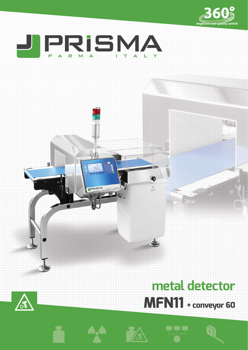



-10

**J'PRISMA** 

 $\blacksquare$ 

# **metal detector MFN11 + conveyor 60**